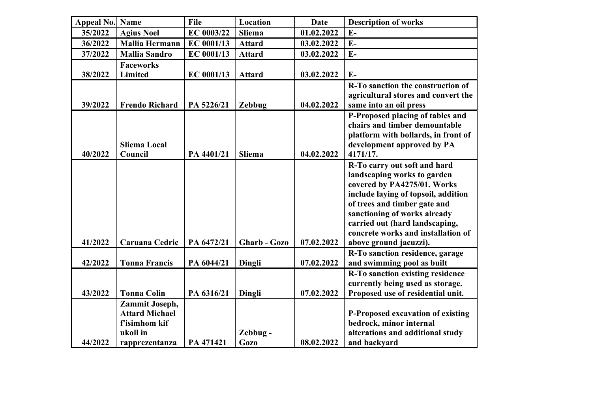| Appeal No. Name |                       | File       | Location      | <b>Date</b> | <b>Description of works</b>                                        |
|-----------------|-----------------------|------------|---------------|-------------|--------------------------------------------------------------------|
| 35/2022         | <b>Agius Noel</b>     | EC 0003/22 | <b>Sliema</b> | 01.02.2022  | $E-$                                                               |
| 36/2022         | <b>Mallia Hermann</b> | EC 0001/13 | <b>Attard</b> | 03.02.2022  | $E-$                                                               |
| 37/2022         | <b>Mallia Sandro</b>  | EC 0001/13 | <b>Attard</b> | 03.02.2022  | $E-$                                                               |
|                 | <b>Faceworks</b>      |            |               |             |                                                                    |
| 38/2022         | Limited               | EC 0001/13 | <b>Attard</b> | 03.02.2022  | $E-$                                                               |
|                 |                       |            |               |             | R-To sanction the construction of                                  |
|                 |                       |            |               |             | agricultural stores and convert the                                |
| 39/2022         | <b>Frendo Richard</b> | PA 5226/21 | <b>Zebbug</b> | 04.02.2022  | same into an oil press                                             |
|                 |                       |            |               |             | P-Proposed placing of tables and                                   |
|                 |                       |            |               |             | chairs and timber demountable                                      |
|                 |                       |            |               |             | platform with bollards, in front of                                |
|                 | <b>Sliema Local</b>   |            |               |             | development approved by PA                                         |
| 40/2022         | Council               | PA 4401/21 | <b>Sliema</b> | 04.02.2022  | 4171/17.                                                           |
|                 |                       |            |               |             | R-To carry out soft and hard                                       |
|                 |                       |            |               |             | landscaping works to garden                                        |
|                 |                       |            |               |             | covered by PA4275/01. Works<br>include laying of topsoil, addition |
|                 |                       |            |               |             | of trees and timber gate and                                       |
|                 |                       |            |               |             | sanctioning of works already                                       |
|                 |                       |            |               |             | carried out (hard landscaping,                                     |
|                 |                       |            |               |             | concrete works and installation of                                 |
| 41/2022         | Caruana Cedric        | PA 6472/21 | Gharb - Gozo  | 07.02.2022  | above ground jacuzzi).                                             |
|                 |                       |            |               |             | R-To sanction residence, garage                                    |
| 42/2022         | <b>Tonna Francis</b>  | PA 6044/21 | Dingli        | 07.02.2022  | and swimming pool as built                                         |
|                 |                       |            |               |             | R-To sanction existing residence                                   |
|                 |                       |            |               |             | currently being used as storage.                                   |
| 43/2022         | <b>Tonna Colin</b>    | PA 6316/21 | Dingli        | 07.02.2022  | Proposed use of residential unit.                                  |
|                 | Zammit Joseph,        |            |               |             |                                                                    |
|                 | <b>Attard Michael</b> |            |               |             | P-Proposed excavation of existing                                  |
|                 | f'isimhom kif         |            |               |             | bedrock, minor internal                                            |
|                 | ukoll in              |            | Zebbug-       |             | alterations and additional study                                   |
| 44/2022         | rapprezentanza        | PA 471421  | <b>Gozo</b>   | 08.02.2022  | and backyard                                                       |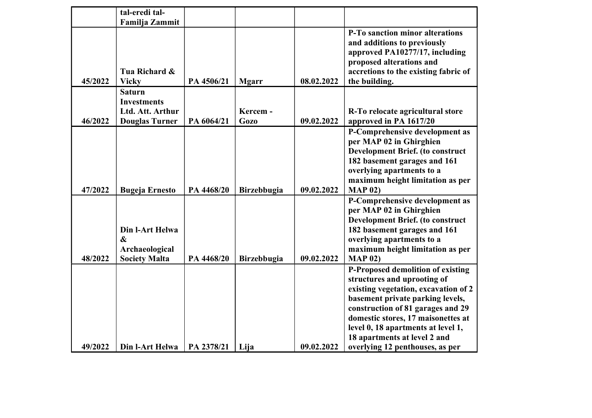|         | tal-eredi tal-<br>Familja Zammit                                                 |            |                         |            |                                                                                                                                                                                                                                                                                                                                  |
|---------|----------------------------------------------------------------------------------|------------|-------------------------|------------|----------------------------------------------------------------------------------------------------------------------------------------------------------------------------------------------------------------------------------------------------------------------------------------------------------------------------------|
| 45/2022 | Tua Richard &<br><b>Vicky</b>                                                    | PA 4506/21 | <b>Mgarr</b>            | 08.02.2022 | P-To sanction minor alterations<br>and additions to previously<br>approved PA10277/17, including<br>proposed alterations and<br>accretions to the existing fabric of<br>the building.                                                                                                                                            |
| 46/2022 | <b>Saturn</b><br><b>Investments</b><br>Ltd. Att. Arthur<br><b>Douglas Turner</b> | PA 6064/21 | Kercem -<br><b>Gozo</b> | 09.02.2022 | R-To relocate agricultural store<br>approved in PA 1617/20                                                                                                                                                                                                                                                                       |
| 47/2022 | <b>Bugeja Ernesto</b>                                                            | PA 4468/20 | <b>Birzebbugia</b>      | 09.02.2022 | P-Comprehensive development as<br>per MAP 02 in Ghirghien<br><b>Development Brief.</b> (to construct<br>182 basement garages and 161<br>overlying apartments to a<br>maximum height limitation as per<br><b>MAP 02)</b>                                                                                                          |
| 48/2022 | Din l-Art Helwa<br>$\boldsymbol{\&}$<br>Archaeological<br><b>Society Malta</b>   | PA 4468/20 | Birzebbugia             | 09.02.2022 | P-Comprehensive development as<br>per MAP 02 in Ghirghien<br><b>Development Brief.</b> (to construct<br>182 basement garages and 161<br>overlying apartments to a<br>maximum height limitation as per<br>MAP 02)                                                                                                                 |
| 49/2022 | Din l-Art Helwa                                                                  | PA 2378/21 | Lija                    | 09.02.2022 | P-Proposed demolition of existing<br>structures and uprooting of<br>existing vegetation, excavation of 2<br>basement private parking levels,<br>construction of 81 garages and 29<br>domestic stores, 17 maisonettes at<br>level 0, 18 apartments at level 1,<br>18 apartments at level 2 and<br>overlying 12 penthouses, as per |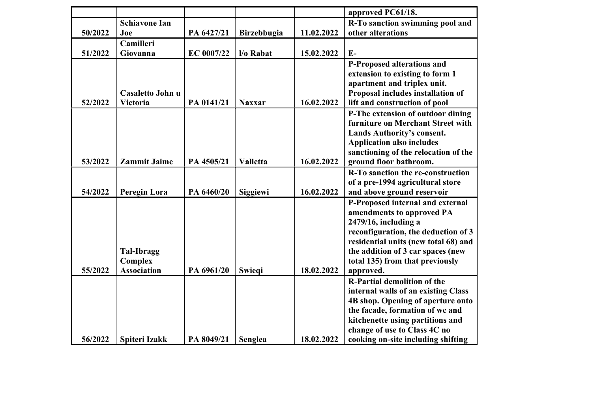|         |                      |            |                    |            | approved PC61/18.                                                                                      |
|---------|----------------------|------------|--------------------|------------|--------------------------------------------------------------------------------------------------------|
|         | <b>Schiavone Ian</b> |            |                    |            | R-To sanction swimming pool and                                                                        |
| 50/2022 | Joe                  | PA 6427/21 | <b>Birzebbugia</b> | 11.02.2022 | other alterations                                                                                      |
|         | Camilleri            |            |                    |            |                                                                                                        |
| 51/2022 | Giovanna             | EC 0007/22 | l/o Rabat          | 15.02.2022 | $E-$                                                                                                   |
|         |                      |            |                    |            | P-Proposed alterations and                                                                             |
|         |                      |            |                    |            | extension to existing to form 1                                                                        |
|         |                      |            |                    |            | apartment and triplex unit.                                                                            |
|         | Casaletto John u     |            |                    |            | Proposal includes installation of                                                                      |
| 52/2022 | <b>Victoria</b>      | PA 0141/21 | <b>Naxxar</b>      | 16.02.2022 | lift and construction of pool                                                                          |
|         |                      |            |                    |            | P-The extension of outdoor dining                                                                      |
|         |                      |            |                    |            | furniture on Merchant Street with                                                                      |
|         |                      |            |                    |            | Lands Authority's consent.                                                                             |
|         |                      |            |                    |            | <b>Application also includes</b>                                                                       |
|         |                      |            |                    |            | sanctioning of the relocation of the                                                                   |
| 53/2022 | <b>Zammit Jaime</b>  | PA 4505/21 | <b>Valletta</b>    | 16.02.2022 | ground floor bathroom.                                                                                 |
|         |                      |            |                    |            | R-To sanction the re-construction                                                                      |
|         |                      |            |                    |            | of a pre-1994 agricultural store                                                                       |
| 54/2022 | Peregin Lora         | PA 6460/20 | Siggiewi           | 16.02.2022 | and above ground reservoir                                                                             |
|         |                      |            |                    |            | P-Proposed internal and external                                                                       |
|         |                      |            |                    |            | amendments to approved PA                                                                              |
|         |                      |            |                    |            | $2479/16$ , including a                                                                                |
|         |                      |            |                    |            | reconfiguration, the deduction of 3                                                                    |
|         |                      |            |                    |            | residential units (new total 68) and                                                                   |
|         | <b>Tal-Ibragg</b>    |            |                    |            | the addition of 3 car spaces (new                                                                      |
|         | Complex              |            |                    |            | total 135) from that previously                                                                        |
| 55/2022 | <b>Association</b>   | PA 6961/20 | <b>Swieqi</b>      | 18.02.2022 | approved.                                                                                              |
|         |                      |            |                    |            | <b>R-Partial demolition of the</b>                                                                     |
|         |                      |            |                    |            | internal walls of an existing Class                                                                    |
|         |                      |            |                    |            | 4B shop. Opening of aperture onto                                                                      |
|         |                      |            |                    |            | the facade, formation of wc and                                                                        |
|         |                      |            |                    |            |                                                                                                        |
|         |                      |            |                    |            |                                                                                                        |
| 56/2022 | <b>Spiteri Izakk</b> | PA 8049/21 | Senglea            | 18.02.2022 | kitchenette using partitions and<br>change of use to Class 4C no<br>cooking on-site including shifting |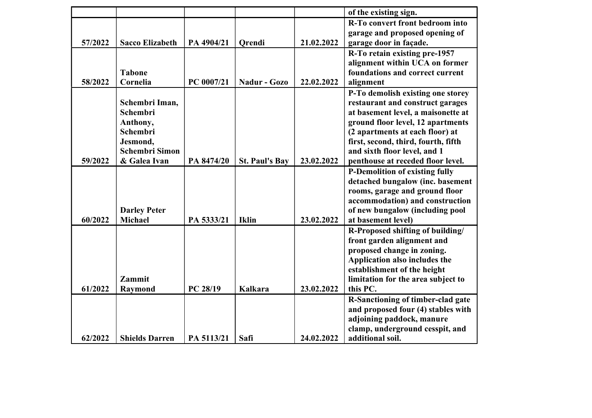|         |                                       |            |                       |            | of the existing sign.                                        |
|---------|---------------------------------------|------------|-----------------------|------------|--------------------------------------------------------------|
|         |                                       |            |                       |            | R-To convert front bedroom into                              |
|         |                                       |            |                       |            | garage and proposed opening of                               |
| 57/2022 | <b>Sacco Elizabeth</b>                | PA 4904/21 | <b>Qrendi</b>         | 21.02.2022 | garage door in façade.                                       |
|         |                                       |            |                       |            | R-To retain existing pre-1957                                |
|         |                                       |            |                       |            | alignment within UCA on former                               |
|         | <b>Tabone</b>                         |            |                       |            | foundations and correct current                              |
| 58/2022 | Cornelia                              | PC 0007/21 | <b>Nadur - Gozo</b>   | 22.02.2022 | alignment                                                    |
|         |                                       |            |                       |            | P-To demolish existing one storey                            |
|         | Schembri Iman,                        |            |                       |            | restaurant and construct garages                             |
|         | Schembri                              |            |                       |            | at basement level, a maisonette at                           |
|         | Anthony,                              |            |                       |            | ground floor level, 12 apartments                            |
|         | Schembri                              |            |                       |            | (2 apartments at each floor) at                              |
|         | Jesmond,                              |            |                       |            | first, second, third, fourth, fifth                          |
|         | <b>Schembri Simon</b>                 |            |                       |            | and sixth floor level, and 1                                 |
| 59/2022 | & Galea Ivan                          | PA 8474/20 | <b>St. Paul's Bay</b> | 23.02.2022 | penthouse at receded floor level.                            |
|         |                                       |            |                       |            | <b>P-Demolition of existing fully</b>                        |
|         |                                       |            |                       |            | detached bungalow (inc. basement                             |
|         |                                       |            |                       |            | rooms, garage and ground floor                               |
|         |                                       |            |                       |            | accommodation) and construction                              |
| 60/2022 | <b>Darley Peter</b><br><b>Michael</b> |            | <b>Iklin</b>          |            | of new bungalow (including pool<br>at basement level)        |
|         |                                       | PA 5333/21 |                       | 23.02.2022 |                                                              |
|         |                                       |            |                       |            | R-Proposed shifting of building/                             |
|         |                                       |            |                       |            | front garden alignment and                                   |
|         |                                       |            |                       |            | proposed change in zoning.                                   |
|         |                                       |            |                       |            | Application also includes the<br>establishment of the height |
|         | <b>Zammit</b>                         |            |                       |            | limitation for the area subject to                           |
| 61/2022 | <b>Raymond</b>                        | PC 28/19   | <b>Kalkara</b>        | 23.02.2022 | this PC.                                                     |
|         |                                       |            |                       |            | R-Sanctioning of timber-clad gate                            |
|         |                                       |            |                       |            | and proposed four (4) stables with                           |
|         |                                       |            |                       |            | adjoining paddock, manure                                    |
|         |                                       |            |                       |            | clamp, underground cesspit, and                              |
| 62/2022 | <b>Shields Darren</b>                 | PA 5113/21 | Safi                  | 24.02.2022 | additional soil.                                             |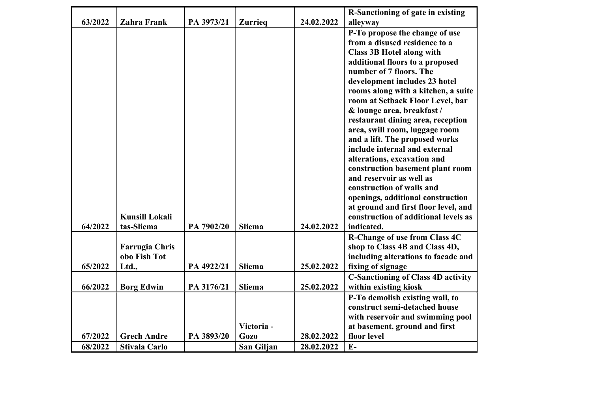|         |                       |            |                |            | R-Sanctioning of gate in existing         |
|---------|-----------------------|------------|----------------|------------|-------------------------------------------|
| 63/2022 | <b>Zahra Frank</b>    | PA 3973/21 | <b>Zurrieq</b> | 24.02.2022 | alleyway                                  |
|         |                       |            |                |            | P-To propose the change of use            |
|         |                       |            |                |            | from a disused residence to a             |
|         |                       |            |                |            | <b>Class 3B Hotel along with</b>          |
|         |                       |            |                |            | additional floors to a proposed           |
|         |                       |            |                |            | number of 7 floors. The                   |
|         |                       |            |                |            | development includes 23 hotel             |
|         |                       |            |                |            | rooms along with a kitchen, a suite       |
|         |                       |            |                |            | room at Setback Floor Level, bar          |
|         |                       |            |                |            | & lounge area, breakfast /                |
|         |                       |            |                |            | restaurant dining area, reception         |
|         |                       |            |                |            | area, swill room, luggage room            |
|         |                       |            |                |            | and a lift. The proposed works            |
|         |                       |            |                |            | include internal and external             |
|         |                       |            |                |            | alterations, excavation and               |
|         |                       |            |                |            | construction basement plant room          |
|         |                       |            |                |            | and reservoir as well as                  |
|         |                       |            |                |            | construction of walls and                 |
|         |                       |            |                |            | openings, additional construction         |
|         |                       |            |                |            | at ground and first floor level, and      |
|         | <b>Kunsill Lokali</b> |            |                |            | construction of additional levels as      |
| 64/2022 | tas-Sliema            | PA 7902/20 | <b>Sliema</b>  | 24.02.2022 | indicated.                                |
|         |                       |            |                |            | R-Change of use from Class 4C             |
|         | <b>Farrugia Chris</b> |            |                |            | shop to Class 4B and Class 4D,            |
|         | obo Fish Tot          |            |                |            | including alterations to facade and       |
| 65/2022 | Ltd.,                 | PA 4922/21 | Sliema         | 25.02.2022 | fixing of signage                         |
|         |                       |            |                |            | <b>C-Sanctioning of Class 4D activity</b> |
| 66/2022 | <b>Borg Edwin</b>     | PA 3176/21 | Sliema         | 25.02.2022 | within existing kiosk                     |
|         |                       |            |                |            | P-To demolish existing wall, to           |
|         |                       |            |                |            | construct semi-detached house             |
|         |                       |            |                |            | with reservoir and swimming pool          |
|         |                       |            | Victoria-      |            | at basement, ground and first             |
| 67/2022 | <b>Grech Andre</b>    | PA 3893/20 | <b>Gozo</b>    | 28.02.2022 | floor level                               |
| 68/2022 | <b>Stivala Carlo</b>  |            | San Giljan     | 28.02.2022 | $E-$                                      |